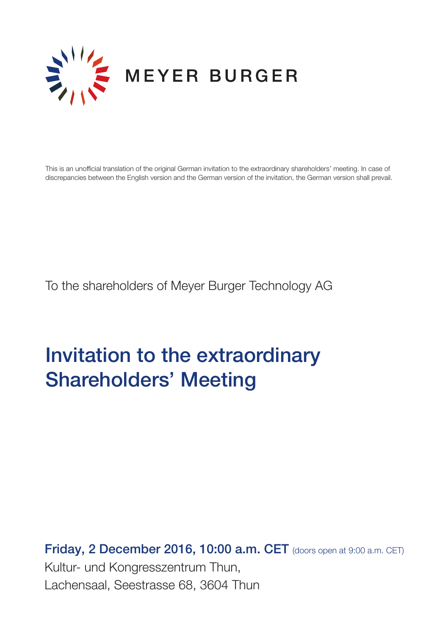

This is an unofficial translation of the original German invitation to the extraordinary shareholders' meeting. In case of discrepancies between the English version and the German version of the invitation, the German version shall prevail.

To the shareholders of Meyer Burger Technology AG

# Invitation to the extraordinary Shareholders' Meeting

**Friday, 2 December 2016, 10:00 a.m. CET** (doors open at 9:00 a.m. CET) Kultur- und Kongresszentrum Thun, Lachensaal, Seestrasse 68, 3604 Thun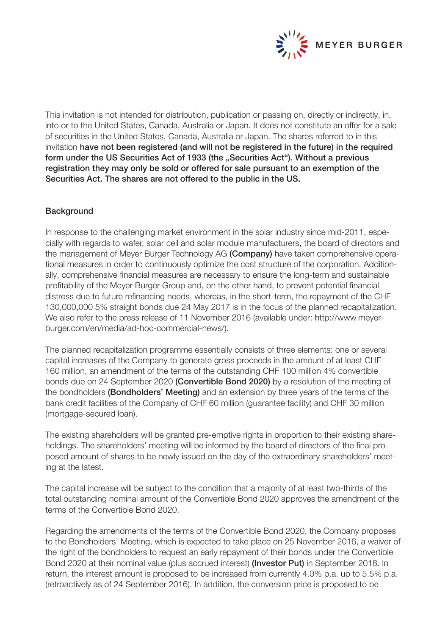

This invitation is not intended for distribution, publication or passing on, directly or indirectly, in, into or to the United States, Canada, Australia or Japan. It does not constitute an offer for a sale of securities in the United States, Canada, Australia or Japan. The shares referred to in this invitation have not been registered (and will not be registered in the future) in the required form under the US Securities Act of 1933 (the "Securities Act"). Without a previous registration they may only be sold or offered for sale pursuant to an exemption of the Securities Act. The shares are not offered to the public in the US.

# **Background**

In response to the challenging market environment in the solar industry since mid-2011, especially with regards to wafer, solar cell and solar module manufacturers, the board of directors and the management of Meyer Burger Technology AG (Company) have taken comprehensive operational measures in order to continuously optimize the cost structure of the corporation. Additionally, comprehensive financial measures are necessary to ensure the long-term and sustainable profitability of the Meyer Burger Group and, on the other hand, to prevent potential financial distress due to future refinancing needs, whereas, in the short-term, the repayment of the CHF 130,000,000 5% straight bonds due 24 May 2017 is in the focus of the planned recapitalization. We also refer to the press release of 11 November 2016 (available under: http://www.meyerburger.com/en/media/ad-hoc-commercial-news/).

The planned recapitalization programme essentially consists of three elements: one or several capital increases of the Company to generate gross proceeds in the amount of at least CHF 160 million, an amendment of the terms of the outstanding CHF 100 million 4% convertible bonds due on 24 September 2020 (Convertible Bond 2020) by a resolution of the meeting of the bondholders (Bondholders' Meeting) and an extension by three years of the terms of the bank credit facilities of the Company of CHF 60 million (guarantee facility) and CHF 30 million (mortgage-secured loan).

The existing shareholders will be granted pre-emptive rights in proportion to their existing shareholdings. The shareholders' meeting will be informed by the board of directors of the final proposed amount of shares to be newly issued on the day of the extraordinary shareholders' meeting at the latest.

The capital increase will be subject to the condition that a majority of at least two-thirds of the total outstanding nominal amount of the Convertible Bond 2020 approves the amendment of the terms of the Convertible Bond 2020.

Regarding the amendments of the terms of the Convertible Bond 2020, the Company proposes to the Bondholders' Meeting, which is expected to take place on 25 November 2016, a waiver of the right of the bondholders to request an early repayment of their bonds under the Convertible Bond 2020 at their nominal value (plus accrued interest) (Investor Put) in September 2018. In return, the interest amount is proposed to be increased from currently 4.0% p.a. up to 5.5% p.a. (retroactively as of 24 September 2016). In addition, the conversion price is proposed to be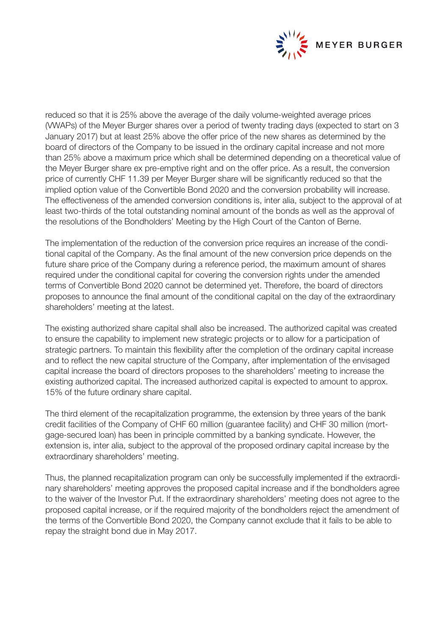

reduced so that it is 25% above the average of the daily volume-weighted average prices (VWAPs) of the Meyer Burger shares over a period of twenty trading days (expected to start on 3 January 2017) but at least 25% above the offer price of the new shares as determined by the board of directors of the Company to be issued in the ordinary capital increase and not more than 25% above a maximum price which shall be determined depending on a theoretical value of the Meyer Burger share ex pre-emptive right and on the offer price. As a result, the conversion price of currently CHF 11.39 per Meyer Burger share will be significantly reduced so that the implied option value of the Convertible Bond 2020 and the conversion probability will increase. The effectiveness of the amended conversion conditions is, inter alia, subject to the approval of at least two-thirds of the total outstanding nominal amount of the bonds as well as the approval of the resolutions of the Bondholders' Meeting by the High Court of the Canton of Berne.

The implementation of the reduction of the conversion price requires an increase of the conditional capital of the Company. As the final amount of the new conversion price depends on the future share price of the Company during a reference period, the maximum amount of shares required under the conditional capital for covering the conversion rights under the amended terms of Convertible Bond 2020 cannot be determined yet. Therefore, the board of directors proposes to announce the final amount of the conditional capital on the day of the extraordinary shareholders' meeting at the latest.

The existing authorized share capital shall also be increased. The authorized capital was created to ensure the capability to implement new strategic projects or to allow for a participation of strategic partners. To maintain this flexibility after the completion of the ordinary capital increase and to reflect the new capital structure of the Company, after implementation of the envisaged capital increase the board of directors proposes to the shareholders' meeting to increase the existing authorized capital. The increased authorized capital is expected to amount to approx. 15% of the future ordinary share capital.

The third element of the recapitalization programme, the extension by three years of the bank credit facilities of the Company of CHF 60 million (guarantee facility) and CHF 30 million (mortgage-secured loan) has been in principle committed by a banking syndicate. However, the extension is, inter alia, subject to the approval of the proposed ordinary capital increase by the extraordinary shareholders' meeting.

Thus, the planned recapitalization program can only be successfully implemented if the extraordinary shareholders' meeting approves the proposed capital increase and if the bondholders agree to the waiver of the Investor Put. If the extraordinary shareholders' meeting does not agree to the proposed capital increase, or if the required majority of the bondholders reject the amendment of the terms of the Convertible Bond 2020, the Company cannot exclude that it fails to be able to repay the straight bond due in May 2017.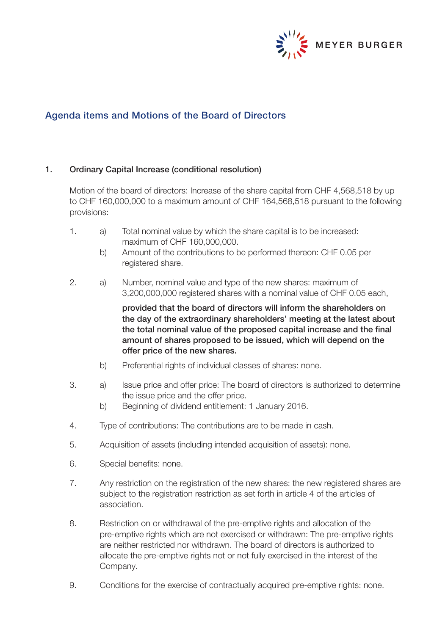

# Agenda items and Motions of the Board of Directors

### 1. Ordinary Capital Increase (conditional resolution)

Motion of the board of directors: Increase of the share capital from CHF 4,568,518 by up to CHF 160,000,000 to a maximum amount of CHF 164,568,518 pursuant to the following provisions:

- 1. a) Total nominal value by which the share capital is to be increased: maximum of CHF 160,000,000.
	- b) Amount of the contributions to be performed thereon: CHF 0.05 per registered share.
- 2. a) Number, nominal value and type of the new shares: maximum of 3,200,000,000 registered shares with a nominal value of CHF 0.05 each,

 provided that the board of directors will inform the shareholders on the day of the extraordinary shareholders' meeting at the latest about the total nominal value of the proposed capital increase and the final amount of shares proposed to be issued, which will depend on the offer price of the new shares.

- b) Preferential rights of individual classes of shares: none.
- 3. a) Issue price and offer price: The board of directors is authorized to determine the issue price and the offer price.
	- b) Beginning of dividend entitlement: 1 January 2016.
- 4. Type of contributions: The contributions are to be made in cash.
- 5. Acquisition of assets (including intended acquisition of assets): none.
- 6. Special benefits: none.
- 7. Any restriction on the registration of the new shares: the new registered shares are subject to the registration restriction as set forth in article 4 of the articles of association.
- 8. Restriction on or withdrawal of the pre-emptive rights and allocation of the pre-emptive rights which are not exercised or withdrawn: The pre-emptive rights are neither restricted nor withdrawn. The board of directors is authorized to allocate the pre-emptive rights not or not fully exercised in the interest of the Company.
- 9. Conditions for the exercise of contractually acquired pre-emptive rights: none.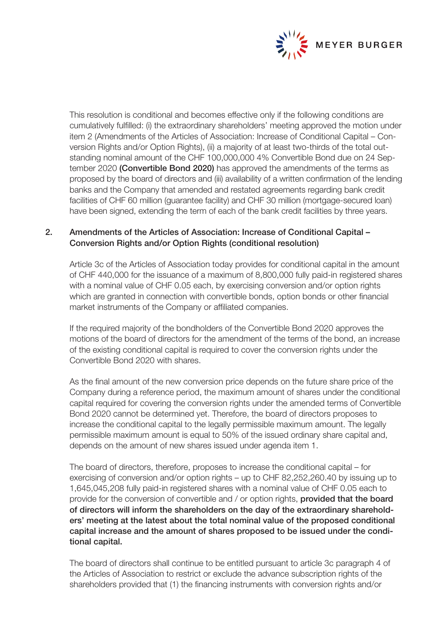

This resolution is conditional and becomes effective only if the following conditions are cumulatively fulfilled: (i) the extraordinary shareholders' meeting approved the motion under item 2 (Amendments of the Articles of Association: Increase of Conditional Capital – Conversion Rights and/or Option Rights), (ii) a majority of at least two-thirds of the total outstanding nominal amount of the CHF 100,000,000 4% Convertible Bond due on 24 September 2020 (Convertible Bond 2020) has approved the amendments of the terms as proposed by the board of directors and (iii) availability of a written confirmation of the lending banks and the Company that amended and restated agreements regarding bank credit facilities of CHF 60 million (guarantee facility) and CHF 30 million (mortgage-secured loan) have been signed, extending the term of each of the bank credit facilities by three years.

# 2. Amendments of the Articles of Association: Increase of Conditional Capital – Conversion Rights and/or Option Rights (conditional resolution)

Article 3c of the Articles of Association today provides for conditional capital in the amount of CHF 440,000 for the issuance of a maximum of 8,800,000 fully paid-in registered shares with a nominal value of CHF 0.05 each, by exercising conversion and/or option rights which are granted in connection with convertible bonds, option bonds or other financial market instruments of the Company or affiliated companies.

If the required majority of the bondholders of the Convertible Bond 2020 approves the motions of the board of directors for the amendment of the terms of the bond, an increase of the existing conditional capital is required to cover the conversion rights under the Convertible Bond 2020 with shares.

As the final amount of the new conversion price depends on the future share price of the Company during a reference period, the maximum amount of shares under the conditional capital required for covering the conversion rights under the amended terms of Convertible Bond 2020 cannot be determined yet. Therefore, the board of directors proposes to increase the conditional capital to the legally permissible maximum amount. The legally permissible maximum amount is equal to 50% of the issued ordinary share capital and, depends on the amount of new shares issued under agenda item 1.

The board of directors, therefore, proposes to increase the conditional capital – for exercising of conversion and/or option rights – up to CHF 82,252,260.40 by issuing up to 1,645,045,208 fully paid-in registered shares with a nominal value of CHF 0.05 each to provide for the conversion of convertible and / or option rights, **provided that the board** of directors will inform the shareholders on the day of the extraordinary shareholders' meeting at the latest about the total nominal value of the proposed conditional capital increase and the amount of shares proposed to be issued under the conditional capital.

The board of directors shall continue to be entitled pursuant to article 3c paragraph 4 of the Articles of Association to restrict or exclude the advance subscription rights of the shareholders provided that (1) the financing instruments with conversion rights and/or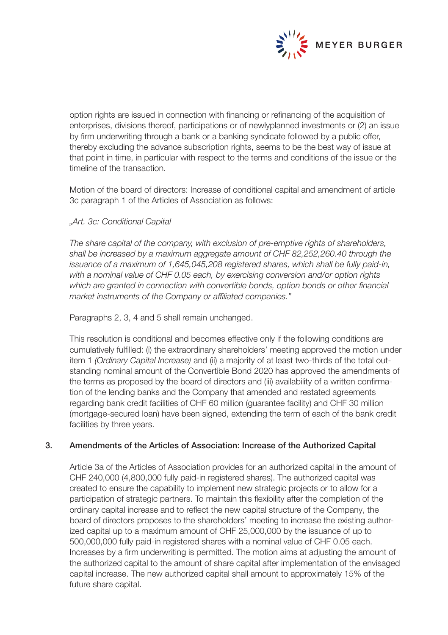

option rights are issued in connection with financing or refinancing of the acquisition of enterprises, divisions thereof, participations or of newlyplanned investments or (2) an issue by firm underwriting through a bank or a banking syndicate followed by a public offer, thereby excluding the advance subscription rights, seems to be the best way of issue at that point in time, in particular with respect to the terms and conditions of the issue or the timeline of the transaction.

Motion of the board of directors: Increase of conditional capital and amendment of article 3c paragraph 1 of the Articles of Association as follows:

## *"Art. 3c: Conditional Capital*

*The share capital of the company, with exclusion of pre-emptive rights of shareholders, shall be increased by a maximum aggregate amount of CHF 82,252,260.40 through the issuance of a maximum of 1,645,045,208 registered shares, which shall be fully paid-in, with a nominal value of CHF 0.05 each, by exercising conversion and/or option rights which are granted in connection with convertible bonds, option bonds or other financial market instruments of the Company or affiliated companies."*

Paragraphs 2, 3, 4 and 5 shall remain unchanged.

This resolution is conditional and becomes effective only if the following conditions are cumulatively fulfilled: (i) the extraordinary shareholders' meeting approved the motion under item 1 *(Ordinary Capital Increase)* and (ii) a majority of at least two-thirds of the total outstanding nominal amount of the Convertible Bond 2020 has approved the amendments of the terms as proposed by the board of directors and (iii) availability of a written confirmation of the lending banks and the Company that amended and restated agreements regarding bank credit facilities of CHF 60 million (guarantee facility) and CHF 30 million (mortgage-secured loan) have been signed, extending the term of each of the bank credit facilities by three years.

### 3. Amendments of the Articles of Association: Increase of the Authorized Capital

Article 3a of the Articles of Association provides for an authorized capital in the amount of CHF 240,000 (4,800,000 fully paid-in registered shares). The authorized capital was created to ensure the capability to implement new strategic projects or to allow for a participation of strategic partners. To maintain this flexibility after the completion of the ordinary capital increase and to reflect the new capital structure of the Company, the board of directors proposes to the shareholders' meeting to increase the existing authorized capital up to a maximum amount of CHF 25,000,000 by the issuance of up to 500,000,000 fully paid-in registered shares with a nominal value of CHF 0.05 each. Increases by a firm underwriting is permitted. The motion aims at adjusting the amount of the authorized capital to the amount of share capital after implementation of the envisaged capital increase. The new authorized capital shall amount to approximately 15% of the future share capital.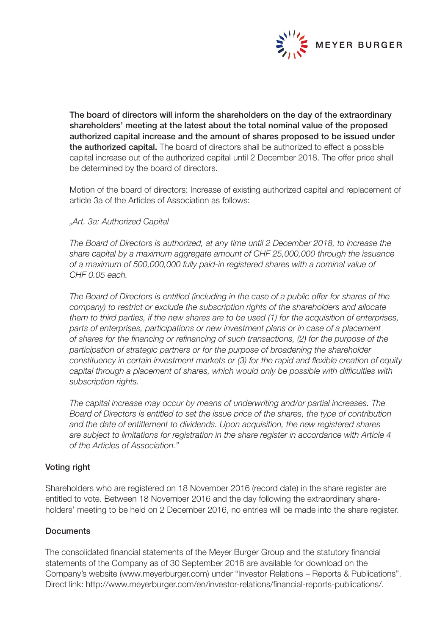

The board of directors will inform the shareholders on the day of the extraordinary shareholders' meeting at the latest about the total nominal value of the proposed authorized capital increase and the amount of shares proposed to be issued under the authorized capital. The board of directors shall be authorized to effect a possible capital increase out of the authorized capital until 2 December 2018. The offer price shall be determined by the board of directors.

Motion of the board of directors: Increase of existing authorized capital and replacement of article 3a of the Articles of Association as follows:

*"Art. 3a: Authorized Capital* 

*The Board of Directors is authorized, at any time until 2 December 2018, to increase the share capital by a maximum aggregate amount of CHF 25,000,000 through the issuance of a maximum of 500,000,000 fully paid-in registered shares with a nominal value of CHF 0.05 each.*

*The Board of Directors is entitled (including in the case of a public offer for shares of the company) to restrict or exclude the subscription rights of the shareholders and allocate them to third parties, if the new shares are to be used (1) for the acquisition of enterprises, parts of enterprises, participations or new investment plans or in case of a placement of shares for the financing or refinancing of such transactions, (2) for the purpose of the participation of strategic partners or for the purpose of broadening the shareholder constituency in certain investment markets or (3) for the rapid and flexible creation of equity capital through a placement of shares, which would only be possible with difficulties with subscription rights.*

*The capital increase may occur by means of underwriting and/or partial increases. The Board of Directors is entitled to set the issue price of the shares, the type of contribution and the date of entitlement to dividends. Upon acquisition, the new registered shares are subject to limitations for registration in the share register in accordance with Article 4 of the Articles of Association."*

### Voting right

Shareholders who are registered on 18 November 2016 (record date) in the share register are entitled to vote. Between 18 November 2016 and the day following the extraordinary shareholders' meeting to be held on 2 December 2016, no entries will be made into the share register.

# **Documents**

The consolidated financial statements of the Meyer Burger Group and the statutory financial statements of the Company as of 30 September 2016 are available for download on the Company's website (www.meyerburger.com) under "Investor Relations – Reports & Publications". Direct link: http://www.meyerburger.com/en/investor-relations/financial-reports-publications/.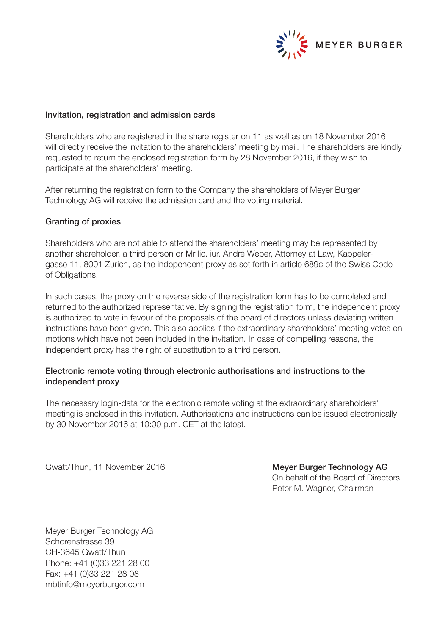

#### Invitation, registration and admission cards

Shareholders who are registered in the share register on 11 as well as on 18 November 2016 will directly receive the invitation to the shareholders' meeting by mail. The shareholders are kindly requested to return the enclosed registration form by 28 November 2016, if they wish to participate at the shareholders' meeting.

After returning the registration form to the Company the shareholders of Meyer Burger Technology AG will receive the admission card and the voting material.

#### Granting of proxies

Shareholders who are not able to attend the shareholders' meeting may be represented by another shareholder, a third person or Mr lic. iur. André Weber, Attorney at Law, Kappelergasse 11, 8001 Zurich, as the independent proxy as set forth in article 689c of the Swiss Code of Obligations.

In such cases, the proxy on the reverse side of the registration form has to be completed and returned to the authorized representative. By signing the registration form, the independent proxy is authorized to vote in favour of the proposals of the board of directors unless deviating written instructions have been given. This also applies if the extraordinary shareholders' meeting votes on motions which have not been included in the invitation. In case of compelling reasons, the independent proxy has the right of substitution to a third person.

## Electronic remote voting through electronic authorisations and instructions to the independent proxy

The necessary login-data for the electronic remote voting at the extraordinary shareholders' meeting is enclosed in this invitation. Authorisations and instructions can be issued electronically by 30 November 2016 at 10:00 p.m. CET at the latest.

Gwatt/Thun, 11 November 2016 **Meyer Burger Technology AG** 

On behalf of the Board of Directors: Peter M. Wagner, Chairman

Meyer Burger Technology AG Schorenstrasse 39 CH-3645 Gwatt/Thun Phone: +41 (0)33 221 28 00 Fax: +41 (0)33 221 28 08 mbtinfo@meyerburger.com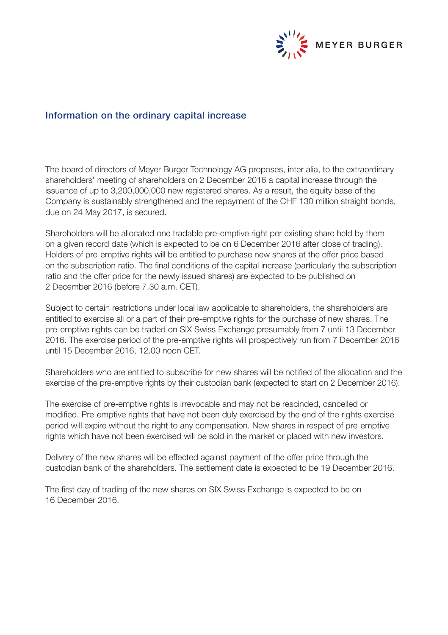

# Information on the ordinary capital increase

The board of directors of Meyer Burger Technology AG proposes, inter alia, to the extraordinary shareholders' meeting of shareholders on 2 December 2016 a capital increase through the issuance of up to 3,200,000,000 new registered shares. As a result, the equity base of the Company is sustainably strengthened and the repayment of the CHF 130 million straight bonds, due on 24 May 2017, is secured.

Shareholders will be allocated one tradable pre-emptive right per existing share held by them on a given record date (which is expected to be on 6 December 2016 after close of trading). Holders of pre-emptive rights will be entitled to purchase new shares at the offer price based on the subscription ratio. The final conditions of the capital increase (particularly the subscription ratio and the offer price for the newly issued shares) are expected to be published on 2 December 2016 (before 7.30 a.m. CET).

Subject to certain restrictions under local law applicable to shareholders, the shareholders are entitled to exercise all or a part of their pre-emptive rights for the purchase of new shares. The pre-emptive rights can be traded on SIX Swiss Exchange presumably from 7 until 13 December 2016. The exercise period of the pre-emptive rights will prospectively run from 7 December 2016 until 15 December 2016, 12.00 noon CET.

Shareholders who are entitled to subscribe for new shares will be notified of the allocation and the exercise of the pre-emptive rights by their custodian bank (expected to start on 2 December 2016).

The exercise of pre-emptive rights is irrevocable and may not be rescinded, cancelled or modified. Pre-emptive rights that have not been duly exercised by the end of the rights exercise period will expire without the right to any compensation. New shares in respect of pre-emptive rights which have not been exercised will be sold in the market or placed with new investors.

Delivery of the new shares will be effected against payment of the offer price through the custodian bank of the shareholders. The settlement date is expected to be 19 December 2016.

The first day of trading of the new shares on SIX Swiss Exchange is expected to be on 16 December 2016.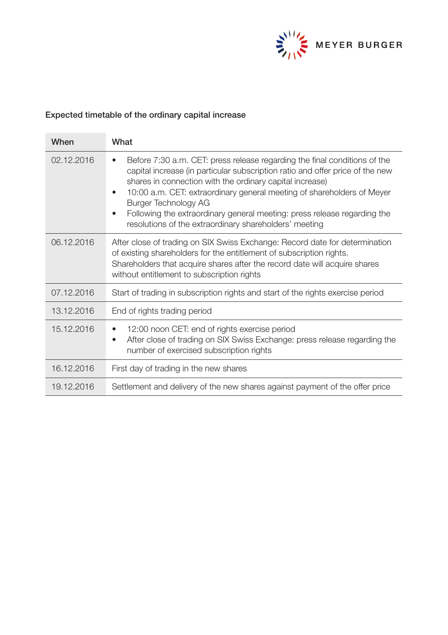

# Expected timetable of the ordinary capital increase

| When       | What                                                                                                                                                                                                                                                                                                                                                                                                                                                                                  |
|------------|---------------------------------------------------------------------------------------------------------------------------------------------------------------------------------------------------------------------------------------------------------------------------------------------------------------------------------------------------------------------------------------------------------------------------------------------------------------------------------------|
| 02.12.2016 | Before 7:30 a.m. CET: press release regarding the final conditions of the<br>٠<br>capital increase (in particular subscription ratio and offer price of the new<br>shares in connection with the ordinary capital increase)<br>10:00 a.m. CET: extraordinary general meeting of shareholders of Meyer<br>٠<br>Burger Technology AG<br>Following the extraordinary general meeting: press release regarding the<br>$\bullet$<br>resolutions of the extraordinary shareholders' meeting |
| 06.12.2016 | After close of trading on SIX Swiss Exchange: Record date for determination<br>of existing shareholders for the entitlement of subscription rights.<br>Shareholders that acquire shares after the record date will acquire shares<br>without entitlement to subscription rights                                                                                                                                                                                                       |
| 07.12.2016 | Start of trading in subscription rights and start of the rights exercise period                                                                                                                                                                                                                                                                                                                                                                                                       |
| 13.12.2016 | End of rights trading period                                                                                                                                                                                                                                                                                                                                                                                                                                                          |
| 15.12.2016 | 12:00 noon CET: end of rights exercise period<br>٠<br>After close of trading on SIX Swiss Exchange: press release regarding the<br>٠<br>number of exercised subscription rights                                                                                                                                                                                                                                                                                                       |
| 16.12.2016 | First day of trading in the new shares                                                                                                                                                                                                                                                                                                                                                                                                                                                |
| 19.12.2016 | Settlement and delivery of the new shares against payment of the offer price                                                                                                                                                                                                                                                                                                                                                                                                          |